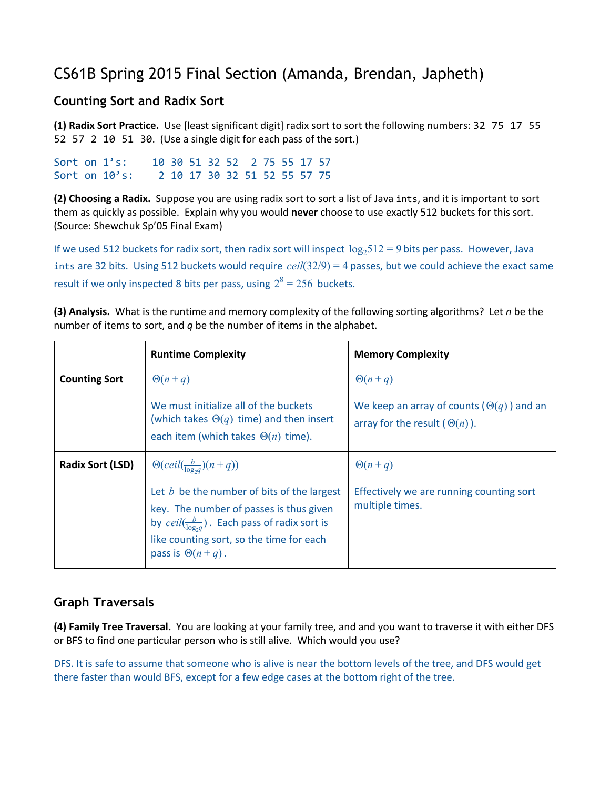# CS61B Spring 2015 Final Section (Amanda, Brendan, Japheth)

#### **Counting Sort and Radix Sort**

**(1) Radix Sort Practice.**Use [least significant digit] radix sort to sort the following numbers: 32751755 52 57 2 10 51 30. (Use a single digit for each pass of the sort.)

Sort on 1's: 10 30 51 32 52 2 75 55 17 57 Sort on 10's: 2 10 17 30 32 51 52 55 57 75

**(2) Choosing a Radix.**Suppose you are using radix sort to sort a list of Java ints, and it is important to sort them as quickly as possible. Explain why you would **never**choose to use exactly 512 buckets for this sort. (Source: Shewchuk Sp'05 Final Exam)

If we used 512 buckets for radix sort, then radix sort will inspect  $\log_2 512 = 9$  bits per pass. However, Java intsare 32 bits. Using 512 buckets would require *ceil*(32/9) = 4 passes, but we could achieve the exact same result if we only inspected 8 bits per pass, using  $2^8 = 256$  buckets.

**(3) Analysis.**What is the runtime and memory complexity of the following sorting algorithms? Let *n* be the number of items to sort, and *q* be the number of items in the alphabet.

|                         | <b>Runtime Complexity</b>                                                                                                                                                                                                  | <b>Memory Complexity</b>                                                                  |
|-------------------------|----------------------------------------------------------------------------------------------------------------------------------------------------------------------------------------------------------------------------|-------------------------------------------------------------------------------------------|
| <b>Counting Sort</b>    | $\Theta(n+q)$                                                                                                                                                                                                              | $\Theta(n+q)$                                                                             |
|                         | We must initialize all of the buckets<br>(which takes $\Theta(q)$ time) and then insert<br>each item (which takes $\Theta(n)$ time).                                                                                       | We keep an array of counts ( $\Theta(q)$ ) and an<br>array for the result $(\Theta(n))$ . |
| <b>Radix Sort (LSD)</b> | $\Theta(\text{ceil}(\frac{b}{\log_{2}a})(n+q))$                                                                                                                                                                            | $\Theta(n+q)$                                                                             |
|                         | Let $b$ be the number of bits of the largest<br>key. The number of passes is thus given<br>by $ceil(\frac{b}{\log a})$ . Each pass of radix sort is<br>like counting sort, so the time for each<br>pass is $\Theta(n+q)$ . | Effectively we are running counting sort<br>multiple times.                               |

## **Graph Traversals**

**(4) Family Tree Traversal.** You are looking at your family tree, and and you want to traverse it with either DFS or BFS to find one particular person who is still alive. Which would you use?

DFS. It is safe to assume that someone who is alive is near the bottom levels of the tree, and DFS would get there faster than would BFS, except for a few edge cases at the bottom right of the tree.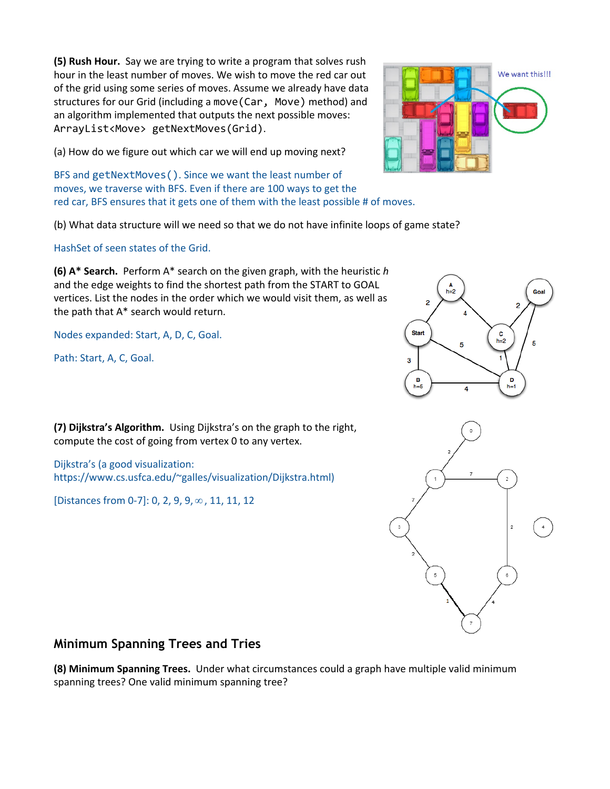**(5) Rush Hour.** Say we are trying to write a program that solves rush hour in the least number of moves. We wish to move the red car out of the grid using some series of moves. Assume we already have data structures for our Grid (including a move (Car, Move) method) and an algorithm implemented that outputs the next possible moves: ArrayList<Move> getNextMoves(Grid).

(a) How do we figure out which car we will end up moving next?

BFS and getNextMoves(). Since we want the least number of moves, we traverse with BFS. Even if there are 100 ways to get the red car, BFS ensures that it gets one of them with the least possible # of moves.

(b) What data structure will we need so that we do not have infinite loops of game state?

HashSet of seen states of the Grid.

**(6) A\* Search.**Perform A\* search on the given graph, with the heuristic *h* and the edge weights to find the shortest path from the START to GOAL vertices. List the nodes in the order which we would visit them, as well as the path that A\* search would return.

Nodes expanded: Start, A, D, C, Goal.

Path: Start, A, C, Goal.

**(7) Dijkstra's Algorithm.**Using Dijkstra's on the graph to the right, compute the cost of going from vertex 0 to any vertex.

Dijkstra's (a good visualization: https://www.cs.usfca.edu/~galles/visualization/Dijkstra.html)

[Distances from 0-7]: 0, 2, 9, 9, ∞, 11, 11, 12

## **Minimum Spanning Trees and Tries**

**(8) Minimum Spanning Trees.** Under what circumstances could a graph have multiple valid minimum spanning trees? One valid minimum spanning tree?